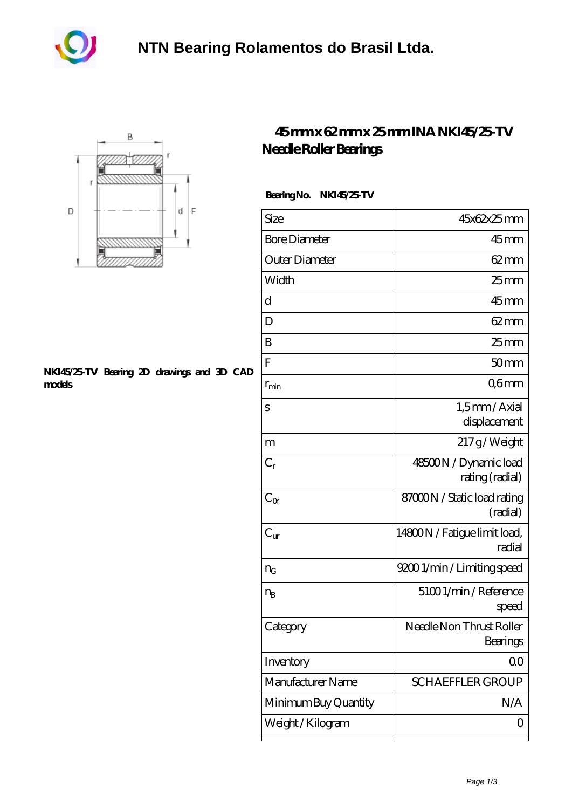



## **[NKI45/25-TV Bearing 2D drawings and 3D CAD](https://m.akfvr.com/pic-65071147.html) [models](https://m.akfvr.com/pic-65071147.html)**

## **[45 mm x 62 mm x 25 mm INA NKI45/25-TV](https://m.akfvr.com/bd-65071147-ina-nki45-25-tv-needle-roller-bearings.html) [Needle Roller Bearings](https://m.akfvr.com/bd-65071147-ina-nki45-25-tv-needle-roller-bearings.html)**

## **Bearing No. NKI45/25-TV**

| Size                 | 45x62x25mm                               |
|----------------------|------------------------------------------|
| <b>Bore Diameter</b> | $45$ mm                                  |
| Outer Diameter       | $62 \text{mm}$                           |
| Width                | 25 <sub>mm</sub>                         |
| d                    | 45 <sub>mm</sub>                         |
| D                    | $62 \text{mm}$                           |
| B                    | 25 <sub>mm</sub>                         |
| F                    | 50mm                                     |
| $r_{\rm min}$        | Q6mm                                     |
| S                    | 1,5mm/Axial<br>displacement              |
| m                    | 217g/Weight                              |
| $C_r$                | 48500N / Dynamic load<br>rating (radial) |
| $C_{\alpha}$         | 87000N / Static load rating<br>(radial)  |
| $C_{\rm ur}$         | 14800N / Fatigue limit load,<br>radial   |
| $n_G$                | 92001/min/Limiting speed                 |
| $n_{B}$              | 51001/min/Reference<br>speed             |
| Category             | Needle Non Thrust Roller<br>Bearings     |
| Inventory            | 0 <sup>0</sup>                           |
| Manufacturer Name    | <b>SCHAEFFLER GROUP</b>                  |
| Minimum Buy Quantity | N/A                                      |
| Weight/Kilogram      | ( )                                      |
|                      |                                          |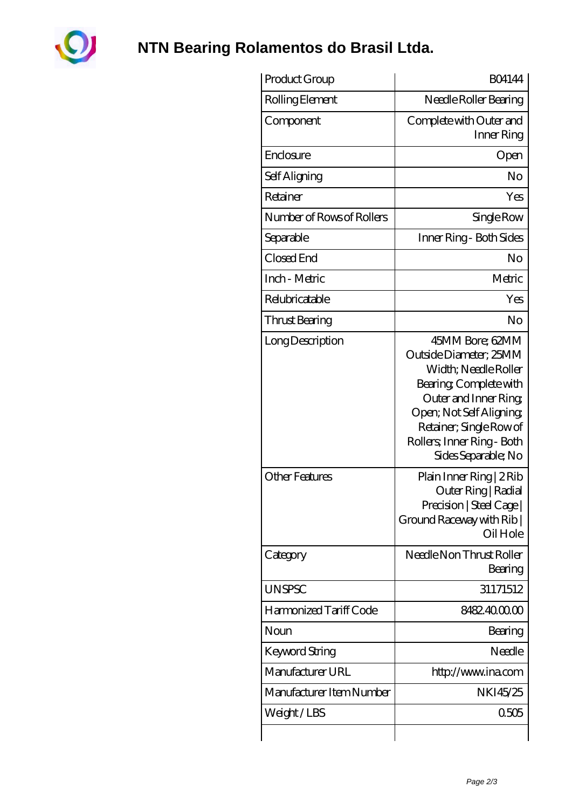

**[NTN Bearing Rolamentos do Brasil Ltda.](https://m.akfvr.com)**

| Product Group             | <b>BO4144</b>                                                                                                                                                                                                                  |
|---------------------------|--------------------------------------------------------------------------------------------------------------------------------------------------------------------------------------------------------------------------------|
| Rolling Element           | Needle Roller Bearing                                                                                                                                                                                                          |
| Component                 | Complete with Outer and<br>Inner Ring                                                                                                                                                                                          |
| Enclosure                 | Open                                                                                                                                                                                                                           |
| Self Aligning             | No                                                                                                                                                                                                                             |
| Retainer                  | Yes                                                                                                                                                                                                                            |
| Number of Rows of Rollers | Single Row                                                                                                                                                                                                                     |
| Separable                 | Inner Ring - Both Sides                                                                                                                                                                                                        |
| Closed End                | No                                                                                                                                                                                                                             |
| Inch - Metric             | Metric                                                                                                                                                                                                                         |
| Relubricatable            | Yes                                                                                                                                                                                                                            |
| Thrust Bearing            | No                                                                                                                                                                                                                             |
| Long Description          | 45MM Bore; 62MM<br>Outside Diameter; 25MM<br>Width; Needle Roller<br>Bearing, Complete with<br>Outer and Inner Ring<br>Open; Not Self Aligning<br>Retainer; Single Row of<br>Rollers; Inner Ring - Both<br>Sides Separable; No |
| <b>Other Features</b>     | Plain Inner Ring   2 Rib<br>Outer Ring   Radial<br>Precision   Steel Cage  <br>Ground Raceway with Rib  <br>Oil Hole                                                                                                           |
| Category                  | Needle Non Thrust Roller<br>Bearing                                                                                                                                                                                            |
| <b>UNSPSC</b>             | 31171512                                                                                                                                                                                                                       |
| Harmonized Tariff Code    | 8482.400000                                                                                                                                                                                                                    |
| Noun                      | Bearing                                                                                                                                                                                                                        |
| Keyword String            | Needle                                                                                                                                                                                                                         |
| Manufacturer URL          | http://www.ina.com                                                                                                                                                                                                             |
| Manufacturer Item Number  | NKI45/25                                                                                                                                                                                                                       |
| Weight/LBS                | 0505                                                                                                                                                                                                                           |
|                           |                                                                                                                                                                                                                                |